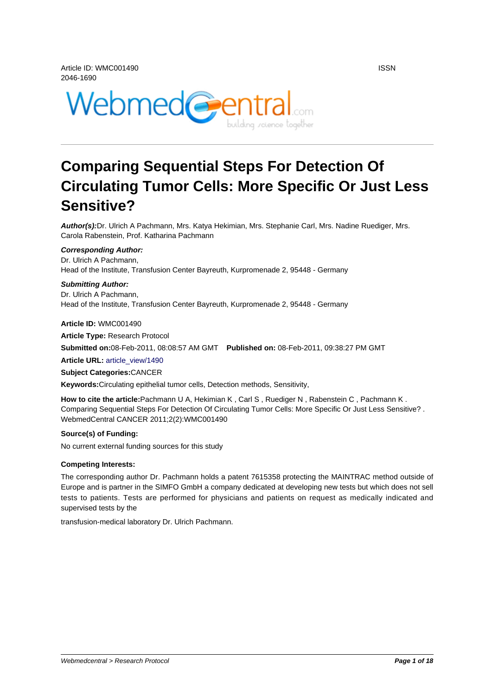

# **Comparing Sequential Steps For Detection Of Circulating Tumor Cells: More Specific Or Just Less Sensitive?**

**Author(s):**Dr. Ulrich A Pachmann, Mrs. Katya Hekimian, Mrs. Stephanie Carl, Mrs. Nadine Ruediger, Mrs. Carola Rabenstein, Prof. Katharina Pachmann

#### **Corresponding Author:**

Dr. Ulrich A Pachmann, Head of the Institute, Transfusion Center Bayreuth, Kurpromenade 2, 95448 - Germany

#### **Submitting Author:**

Dr. Ulrich A Pachmann, Head of the Institute, Transfusion Center Bayreuth, Kurpromenade 2, 95448 - Germany

**Article ID:** WMC001490 **Article Type:** Research Protocol **Submitted on:**08-Feb-2011, 08:08:57 AM GMT **Published on:** 08-Feb-2011, 09:38:27 PM GMT **Article URL:** article\_view/1490 **Subject Categories:**CANCER

**Keywords:**Circulating epithelial tumor cells, Detection methods, Sensitivity,

**How to cite t[he article:](http://www.webmedcentral.com/article_view/1490)**Pachmann U A, Hekimian K , Carl S , Ruediger N , Rabenstein C , Pachmann K . Comparing Sequential Steps For Detection Of Circulating Tumor Cells: More Specific Or Just Less Sensitive? . WebmedCentral CANCER 2011;2(2):WMC001490

#### **Source(s) of Funding:**

No current external funding sources for this study

#### **Competing Interests:**

The corresponding author Dr. Pachmann holds a patent 7615358 protecting the MAINTRAC method outside of Europe and is partner in the SIMFO GmbH a company dedicated at developing new tests but which does not sell tests to patients. Tests are performed for physicians and patients on request as medically indicated and supervised tests by the

transfusion-medical laboratory Dr. Ulrich Pachmann.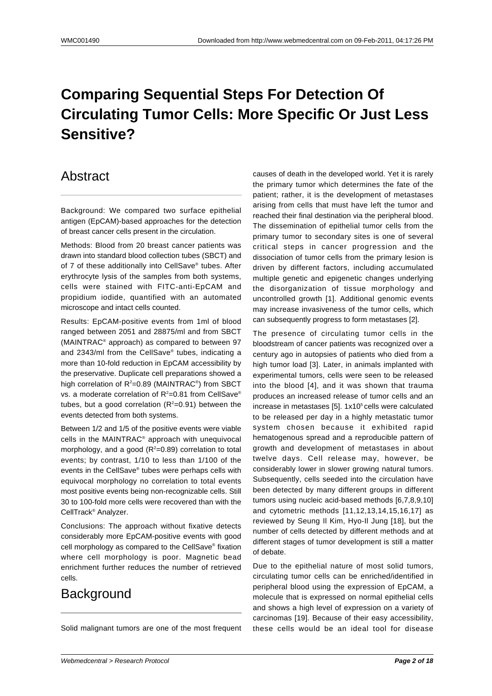# **Comparing Sequential Steps For Detection Of Circulating Tumor Cells: More Specific Or Just Less Sensitive?**

### Abstract

Background: We compared two surface epithelial antigen (EpCAM)-based approaches for the detection of breast cancer cells present in the circulation.

Methods: Blood from 20 breast cancer patients was drawn into standard blood collection tubes (SBCT) and of 7 of these additionally into CellSave® tubes. After erythrocyte lysis of the samples from both systems, cells were stained with FITC-anti-EpCAM and propidium iodide, quantified with an automated microscope and intact cells counted.

Results: EpCAM-positive events from 1ml of blood ranged between 2051 and 28875/ml and from SBCT (MAINTRAC® approach) as compared to between 97 and 2343/ml from the CellSave® tubes, indicating a more than 10-fold reduction in EpCAM accessibility by the preservative. Duplicate cell preparations showed a high correlation of R<sup>2</sup>=0.89 (MAINTRAC®) from SBCT vs. a moderate correlation of  $R^2$ =0.81 from CellSave® tubes, but a good correlation  $(R^2=0.91)$  between the events detected from both systems.

Between 1/2 and 1/5 of the positive events were viable cells in the MAINTRAC® approach with unequivocal morphology, and a good  $(R^2=0.89)$  correlation to total events; by contrast, 1/10 to less than 1/100 of the events in the CellSave® tubes were perhaps cells with equivocal morphology no correlation to total events most positive events being non-recognizable cells. Still 30 to 100-fold more cells were recovered than with the CellTrack® Analyzer.

Conclusions: The approach without fixative detects considerably more EpCAM-positive events with good cell morphology as compared to the CellSave® fixation where cell morphology is poor. Magnetic bead enrichment further reduces the number of retrieved cells.

# Background

Solid malignant tumors are one of the most frequent

causes of death in the developed world. Yet it is rarely the primary tumor which determines the fate of the patient; rather, it is the development of metastases arising from cells that must have left the tumor and reached their final destination via the peripheral blood. The dissemination of epithelial tumor cells from the primary tumor to secondary sites is one of several critical steps in cancer progression and the dissociation of tumor cells from the primary lesion is driven by different factors, including accumulated multiple genetic and epigenetic changes underlying the disorganization of tissue morphology and uncontrolled growth [1]. Additional genomic events may increase invasiveness of the tumor cells, which can subsequently progress to form metastases [2].

The presence of circulating tumor cells in the bloodstream of cancer patients was recognized over a century ago in autopsies of patients who died from a high tumor load [3]. Later, in animals implanted with experimental tumors, cells were seen to be released into the blood [4], and it was shown that trauma produces an increased release of tumor cells and an increase in metastases  $[5]$ . 1x10 $<sup>5</sup>$ cells were calculated</sup> to be released per day in a highly metastatic tumor system chosen because it exhibited rapid hematogenous spread and a reproducible pattern of growth and development of metastases in about twelve days. Cell release may, however, be considerably lower in slower growing natural tumors. Subsequently, cells seeded into the circulation have been detected by many different groups in different tumors using nucleic acid-based methods [6,7,8,9,10] and cytometric methods [11,12,13,14,15,16,17] as reviewed by Seung Il Kim, Hyo-Il Jung [18], but the number of cells detected by different methods and at different stages of tumor development is still a matter of debate.

Due to the epithelial nature of most solid tumors, circulating tumor cells can be enriched/identified in peripheral blood using the expression of EpCAM, a molecule that is expressed on normal epithelial cells and shows a high level of expression on a variety of carcinomas [19]. Because of their easy accessibility, these cells would be an ideal tool for disease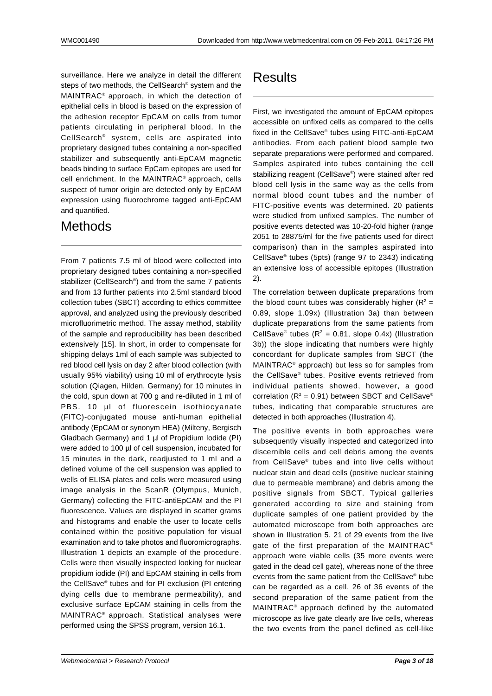surveillance. Here we analyze in detail the different steps of two methods, the CellSearch® system and the MAINTRAC® approach, in which the detection of epithelial cells in blood is based on the expression of the adhesion receptor EpCAM on cells from tumor patients circulating in peripheral blood. In the CellSearch® system, cells are aspirated into proprietary designed tubes containing a non-specified stabilizer and subsequently anti-EpCAM magnetic beads binding to surface EpCam epitopes are used for cell enrichment. In the MAINTRAC® approach, cells suspect of tumor origin are detected only by EpCAM expression using fluorochrome tagged anti-EpCAM and quantified.

#### Methods

From 7 patients 7.5 ml of blood were collected into proprietary designed tubes containing a non-specified stabilizer (CellSearch® ) and from the same 7 patients and from 13 further patients into 2.5ml standard blood collection tubes (SBCT) according to ethics committee approval, and analyzed using the previously described microfluorimetric method. The assay method, stability of the sample and reproducibility has been described extensively [15]. In short, in order to compensate for shipping delays 1ml of each sample was subjected to red blood cell lysis on day 2 after blood collection (with usually 95% viability) using 10 ml of erythrocyte lysis solution (Qiagen, Hilden, Germany) for 10 minutes in the cold, spun down at 700 g and re-diluted in 1 ml of PBS. 10 µl of fluorescein isothiocyanate (FITC)-conjugated mouse anti-human epithelial antibody (EpCAM or synonym HEA) (Milteny, Bergisch Gladbach Germany) and 1 µl of Propidium Iodide (PI) were added to 100 µl of cell suspension, incubated for 15 minutes in the dark, readjusted to 1 ml and a defined volume of the cell suspension was applied to wells of ELISA plates and cells were measured using image analysis in the ScanR (Olympus, Munich, Germany) collecting the FITC-antiEpCAM and the PI fluorescence. Values are displayed in scatter grams and histograms and enable the user to locate cells contained within the positive population for visual examination and to take photos and fluoromicrographs. Illustration 1 depicts an example of the procedure. Cells were then visually inspected looking for nuclear propidium iodide (PI) and EpCAM staining in cells from the CellSave® tubes and for PI exclusion (PI entering dying cells due to membrane permeability), and exclusive surface EpCAM staining in cells from the MAINTRAC® approach. Statistical analyses were performed using the SPSS program, version 16.1.

## Results

First, we investigated the amount of EpCAM epitopes accessible on unfixed cells as compared to the cells fixed in the CellSave® tubes using FITC-anti-EpCAM antibodies. From each patient blood sample two separate preparations were performed and compared. Samples aspirated into tubes containing the cell stabilizing reagent (CellSave® ) were stained after red blood cell lysis in the same way as the cells from normal blood count tubes and the number of FITC-positive events was determined. 20 patients were studied from unfixed samples. The number of positive events detected was 10-20-fold higher (range 2051 to 28875/ml for the five patients used for direct comparison) than in the samples aspirated into CellSave® tubes (5pts) (range 97 to 2343) indicating an extensive loss of accessible epitopes (Illustration 2).

The correlation between duplicate preparations from the blood count tubes was considerably higher ( $R^2$  = 0.89, slope 1.09x) (Illustration 3a) than between duplicate preparations from the same patients from CellSave<sup>®</sup> tubes ( $R^2 = 0.81$ , slope 0.4x) (Illustration 3b)) the slope indicating that numbers were highly concordant for duplicate samples from SBCT (the MAINTRAC® approach) but less so for samples from the CellSave® tubes. Positive events retrieved from individual patients showed, however, a good correlation ( $R^2$  = 0.91) between SBCT and CellSave<sup>®</sup> tubes, indicating that comparable structures are detected in both approaches (Illustration 4).

The positive events in both approaches were subsequently visually inspected and categorized into discernible cells and cell debris among the events from CellSave® tubes and into live cells without nuclear stain and dead cells (positive nuclear staining due to permeable membrane) and debris among the positive signals from SBCT. Typical galleries generated according to size and staining from duplicate samples of one patient provided by the automated microscope from both approaches are shown in Illustration 5. 21 of 29 events from the live gate of the first preparation of the MAINTRAC® approach were viable cells (35 more events were gated in the dead cell gate), whereas none of the three events from the same patient from the CellSave® tube can be regarded as a cell. 26 of 36 events of the second preparation of the same patient from the MAINTRAC® approach defined by the automated microscope as live gate clearly are live cells, whereas the two events from the panel defined as cell-like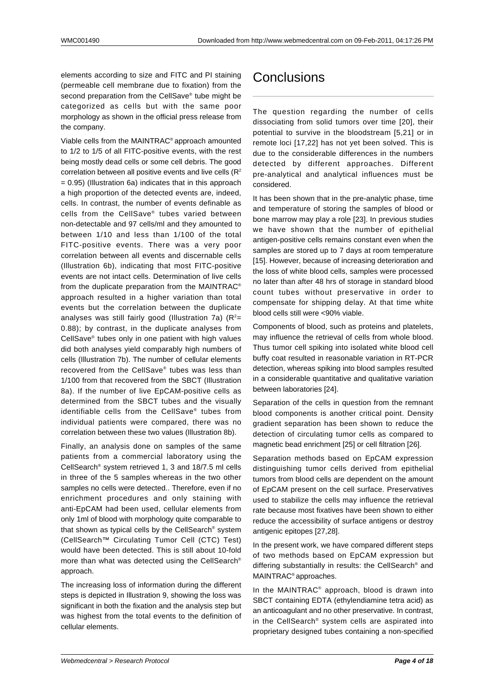elements according to size and FITC and PI staining (permeable cell membrane due to fixation) from the second preparation from the CellSave® tube might be categorized as cells but with the same poor morphology as shown in the official press release from the company.

Viable cells from the MAINTRAC® approach amounted to 1/2 to 1/5 of all FITC-positive events, with the rest being mostly dead cells or some cell debris. The good correlation between all positive events and live cells  $(R<sup>2</sup>)$ = 0.95) (Illustration 6a) indicates that in this approach a high proportion of the detected events are, indeed, cells. In contrast, the number of events definable as cells from the CellSave® tubes varied between non-detectable and 97 cells/ml and they amounted to between 1/10 and less than 1/100 of the total FITC-positive events. There was a very poor correlation between all events and discernable cells (Illustration 6b), indicating that most FITC-positive events are not intact cells. Determination of live cells from the duplicate preparation from the MAINTRAC® approach resulted in a higher variation than total events but the correlation between the duplicate analyses was still fairly good (Illustration 7a)  $(R^2=$ 0.88); by contrast, in the duplicate analyses from CellSave® tubes only in one patient with high values did both analyses yield comparably high numbers of cells (Illustration 7b). The number of cellular elements recovered from the CellSave® tubes was less than 1/100 from that recovered from the SBCT (Illustration 8a). If the number of live EpCAM-positive cells as determined from the SBCT tubes and the visually identifiable cells from the CellSave® tubes from individual patients were compared, there was no correlation between these two values (Illustration 8b).

Finally, an analysis done on samples of the same patients from a commercial laboratory using the CellSearch® system retrieved 1, 3 and 18/7.5 ml cells in three of the 5 samples whereas in the two other samples no cells were detected.. Therefore, even if no enrichment procedures and only staining with anti-EpCAM had been used, cellular elements from only 1ml of blood with morphology quite comparable to that shown as typical cells by the CellSearch® system (CellSearch™ Circulating Tumor Cell (CTC) Test) would have been detected. This is still about 10-fold more than what was detected using the CellSearch® approach.

The increasing loss of information during the different steps is depicted in Illustration 9, showing the loss was significant in both the fixation and the analysis step but was highest from the total events to the definition of cellular elements.

# **Conclusions**

The question regarding the number of cells dissociating from solid tumors over time [20], their potential to survive in the bloodstream [5,21] or in remote loci [17,22] has not yet been solved. This is due to the considerable differences in the numbers detected by different approaches. Different pre-analytical and analytical influences must be considered.

It has been shown that in the pre-analytic phase, time and temperature of storing the samples of blood or bone marrow may play a role [23]. In previous studies we have shown that the number of epithelial antigen-positive cells remains constant even when the samples are stored up to 7 days at room temperature [15]. However, because of increasing deterioration and the loss of white blood cells, samples were processed no later than after 48 hrs of storage in standard blood count tubes without preservative in order to compensate for shipping delay. At that time white blood cells still were <90% viable.

Components of blood, such as proteins and platelets, may influence the retrieval of cells from whole blood. Thus tumor cell spiking into isolated white blood cell buffy coat resulted in reasonable variation in RT-PCR detection, whereas spiking into blood samples resulted in a considerable quantitative and qualitative variation between laboratories [24].

Separation of the cells in question from the remnant blood components is another critical point. Density gradient separation has been shown to reduce the detection of circulating tumor cells as compared to magnetic bead enrichment [25] or cell filtration [26].

Separation methods based on EpCAM expression distinguishing tumor cells derived from epithelial tumors from blood cells are dependent on the amount of EpCAM present on the cell surface. Preservatives used to stabilize the cells may influence the retrieval rate because most fixatives have been shown to either reduce the accessibility of surface antigens or destroy antigenic epitopes [27,28].

In the present work, we have compared different steps of two methods based on EpCAM expression but differing substantially in results: the CellSearch® and MAINTRAC® approaches.

In the MAINTRAC® approach, blood is drawn into SBCT containing EDTA (ethylendiamine tetra acid) as an anticoagulant and no other preservative. In contrast, in the CellSearch® system cells are aspirated into proprietary designed tubes containing a non-specified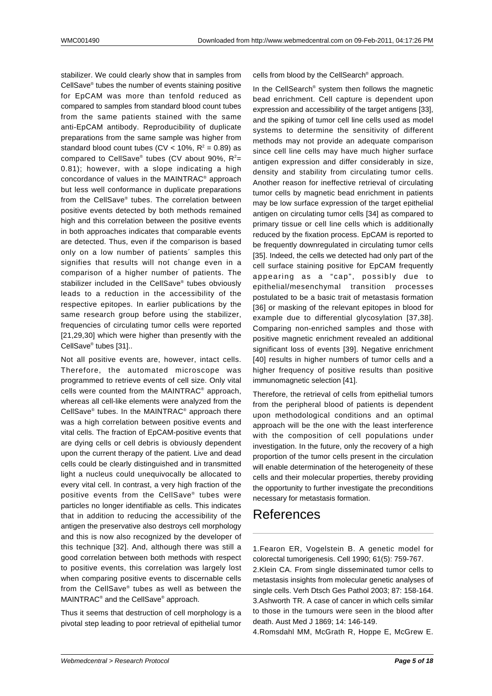stabilizer. We could clearly show that in samples from CellSave® tubes the number of events staining positive for EpCAM was more than tenfold reduced as compared to samples from standard blood count tubes from the same patients stained with the same anti-EpCAM antibody. Reproducibility of duplicate preparations from the same sample was higher from standard blood count tubes (CV < 10%,  $R^2$  = 0.89) as compared to CellSave® tubes (CV about 90%,  $R^2$ = 0.81); however, with a slope indicating a high concordance of values in the MAINTRAC® approach but less well conformance in duplicate preparations from the CellSave® tubes. The correlation between positive events detected by both methods remained high and this correlation between the positive events in both approaches indicates that comparable events are detected. Thus, even if the comparison is based only on a low number of patients´ samples this signifies that results will not change even in a comparison of a higher number of patients. The stabilizer included in the CellSave® tubes obviously leads to a reduction in the accessibility of the respective epitopes. In earlier publications by the same research group before using the stabilizer, frequencies of circulating tumor cells were reported [21,29,30] which were higher than presently with the CellSave® tubes [31]..

Not all positive events are, however, intact cells. Therefore, the automated microscope was programmed to retrieve events of cell size. Only vital cells were counted from the MAINTRAC® approach, whereas all cell-like elements were analyzed from the CellSave® tubes. In the MAINTRAC® approach there was a high correlation between positive events and vital cells. The fraction of EpCAM-positive events that are dying cells or cell debris is obviously dependent upon the current therapy of the patient. Live and dead cells could be clearly distinguished and in transmitted light a nucleus could unequivocally be allocated to every vital cell. In contrast, a very high fraction of the positive events from the CellSave® tubes were particles no longer identifiable as cells. This indicates that in addition to reducing the accessibility of the antigen the preservative also destroys cell morphology and this is now also recognized by the developer of this technique [32]. And, although there was still a good correlation between both methods with respect to positive events, this correlation was largely lost when comparing positive events to discernable cells from the CellSave® tubes as well as between the MAINTRAC® and the CellSave® approach.

Thus it seems that destruction of cell morphology is a pivotal step leading to poor retrieval of epithelial tumor cells from blood by the CellSearch® approach.

In the CellSearch<sup>®</sup> system then follows the magnetic bead enrichment. Cell capture is dependent upon expression and accessibility of the target antigens [33], and the spiking of tumor cell line cells used as model systems to determine the sensitivity of different methods may not provide an adequate comparison since cell line cells may have much higher surface antigen expression and differ considerably in size, density and stability from circulating tumor cells. Another reason for ineffective retrieval of circulating tumor cells by magnetic bead enrichment in patients may be low surface expression of the target epithelial antigen on circulating tumor cells [34] as compared to primary tissue or cell line cells which is additionally reduced by the fixation process. EpCAM is reported to be frequently downregulated in circulating tumor cells [35]. Indeed, the cells we detected had only part of the cell surface staining positive for EpCAM frequently appearing as a "cap", possibly due to epithelial/mesenchymal transition processes postulated to be a basic trait of metastasis formation [36] or masking of the relevant epitopes in blood for example due to differential glycosylation [37,38]. Comparing non-enriched samples and those with positive magnetic enrichment revealed an additional significant loss of events [39]. Negative enrichment [40] results in higher numbers of tumor cells and a higher frequency of positive results than positive immunomagnetic selection [41].

Therefore, the retrieval of cells from epithelial tumors from the peripheral blood of patients is dependent upon methodological conditions and an optimal approach will be the one with the least interference with the composition of cell populations under investigation. In the future, only the recovery of a high proportion of the tumor cells present in the circulation will enable determination of the heterogeneity of these cells and their molecular properties, thereby providing the opportunity to further investigate the preconditions necessary for metastasis formation.

### References

1.Fearon ER, Vogelstein B. A genetic model for colorectal tumorigenesis. Cell 1990; 61(5): 759-767.

2.Klein CA. From single disseminated tumor cells to metastasis insights from molecular genetic analyses of single cells. Verh Dtsch Ges Pathol 2003; 87: 158-164. 3.Ashworth TR. A case of cancer in which cells similar to those in the tumours were seen in the blood after death. Aust Med J 1869; 14: 146-149.

4.Romsdahl MM, McGrath R, Hoppe E, McGrew E.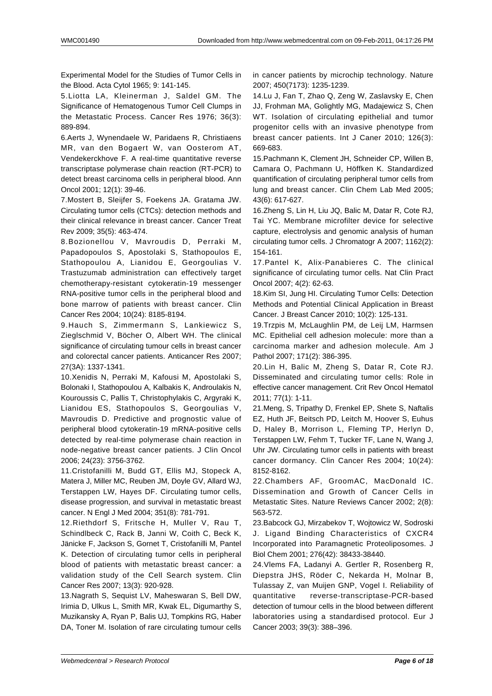Experimental Model for the Studies of Tumor Cells in the Blood. Acta Cytol 1965; 9: 141-145.

5.Liotta LA, Kleinerman J, Saldel GM. The Significance of Hematogenous Tumor Cell Clumps in the Metastatic Process. Cancer Res 1976; 36(3): 889-894.

6.Aerts J, Wynendaele W, Paridaens R, Christiaens MR, van den Bogaert W, van Oosterom AT, Vendekerckhove F. A real-time quantitative reverse transcriptase polymerase chain reaction (RT-PCR) to detect breast carcinoma cells in peripheral blood. Ann Oncol 2001; 12(1): 39-46.

7.Mostert B, Sleijfer S, Foekens JA. Gratama JW. Circulating tumor cells (CTCs): detection methods and their clinical relevance in breast cancer. Cancer Treat Rev 2009; 35(5): 463-474.

8.Bozionellou V, Mavroudis D, Perraki M, Papadopoulos S, Apostolaki S, Stathopoulos E, Stathopoulou A, Lianidou E, Georgoulias V. Trastuzumab administration can effectively target chemotherapy-resistant cytokeratin-19 messenger RNA-positive tumor cells in the peripheral blood and bone marrow of patients with breast cancer. Clin Cancer Res 2004; 10(24): 8185-8194.

9.Hauch S, Zimmermann S, Lankiewicz S, Zieglschmid V, Böcher O, Albert WH. The clinical significance of circulating tumour cells in breast cancer and colorectal cancer patients. Anticancer Res 2007; 27(3A): 1337-1341.

10.Xenidis N, Perraki M, Kafousi M, Apostolaki S, Bolonaki I, Stathopoulou A, Kalbakis K, Androulakis N, Kouroussis C, Pallis T, Christophylakis C, Argyraki K, Lianidou ES, Stathopoulos S, Georgoulias V, Mavroudis D. Predictive and prognostic value of peripheral blood cytokeratin-19 mRNA-positive cells detected by real-time polymerase chain reaction in node-negative breast cancer patients. J Clin Oncol 2006; 24(23): 3756-3762.

11.Cristofanilli M, Budd GT, Ellis MJ, Stopeck A, Matera J, Miller MC, Reuben JM, Doyle GV, Allard WJ, Terstappen LW, Hayes DF. Circulating tumor cells, disease progression, and survival in metastatic breast cancer. N Engl J Med 2004; 351(8): 781-791.

12.Riethdorf S, Fritsche H, Muller V, Rau T, Schindlbeck C, Rack B, Janni W, Coith C, Beck K, Jänicke F, Jackson S, Gornet T, Cristofanilli M, Pantel K. Detection of circulating tumor cells in peripheral blood of patients with metastatic breast cancer: a validation study of the Cell Search system. Clin Cancer Res 2007; 13(3): 920-928.

13.Nagrath S, Sequist LV, Maheswaran S, Bell DW, Irimia D, Ulkus L, Smith MR, Kwak EL, Digumarthy S, Muzikansky A, Ryan P, Balis UJ, Tompkins RG, Haber DA, Toner M. Isolation of rare circulating tumour cells in cancer patients by microchip technology. Nature 2007; 450(7173): 1235-1239.

14.Lu J, Fan T, Zhao Q, Zeng W, Zaslavsky E, Chen JJ, Frohman MA, Golightly MG, Madajewicz S, Chen WT. Isolation of circulating epithelial and tumor progenitor cells with an invasive phenotype from breast cancer patients. Int J Caner 2010; 126(3): 669-683.

15.Pachmann K, Clement JH, Schneider CP, Willen B, Camara O, Pachmann U, Höffken K. Standardized quantification of circulating peripheral tumor cells from lung and breast cancer. Clin Chem Lab Med 2005; 43(6): 617-627.

16.Zheng S, Lin H, Liu JQ, Balic M, Datar R, Cote RJ, Tai YC. Membrane microfilter device for selective capture, electrolysis and genomic analysis of human circulating tumor cells. J Chromatogr A 2007; 1162(2): 154-161.

17.Pantel K, Alix-Panabieres C. The clinical significance of circulating tumor cells. Nat Clin Pract Oncol 2007; 4(2): 62-63.

18.Kim SI, Jung HI. Circulating Tumor Cells: Detection Methods and Potential Clinical Application in Breast Cancer. J Breast Cancer 2010; 10(2): 125-131.

19.Trzpis M, McLaughlin PM, de Leij LM, Harmsen MC. Epithelial cell adhesion molecule: more than a carcinoma marker and adhesion molecule. Am J Pathol 2007; 171(2): 386-395.

20.Lin H, Balic M, Zheng S, Datar R, Cote RJ. Disseminated and circulating tumor cells: Role in effective cancer management. Crit Rev Oncol Hematol 2011; 77(1): 1-11.

21.Meng, S, Tripathy D, Frenkel EP, Shete S, Naftalis EZ, Huth JF, Beitsch PD, Leitch M, Hoover S, Euhus D, Haley B, Morrison L, Fleming TP, Herlyn D, Terstappen LW, Fehm T, Tucker TF, Lane N, Wang J, Uhr JW. Circulating tumor cells in patients with breast cancer dormancy. Clin Cancer Res 2004; 10(24): 8152-8162.

22.Chambers AF, GroomAC, MacDonald IC. Dissemination and Growth of Cancer Cells in Metastatic Sites. Nature Reviews Cancer 2002; 2(8): 563-572.

23.Babcock GJ, Mirzabekov T, Wojtowicz W, Sodroski J. Ligand Binding Characteristics of CXCR4 Incorporated into Paramagnetic Proteoliposomes. J Biol Chem 2001; 276(42): 38433-38440.

24.Vlems FA, Ladanyi A. Gertler R, Rosenberg R, Diepstra JHS, Röder C, Nekarda H, Molnar B, Tulassay Z, van Muijen GNP, Vogel I. Reliability of quantitative reverse-transcriptase-PCR-based detection of tumour cells in the blood between different laboratories using a standardised protocol. Eur J Cancer 2003; 39(3): 388–396.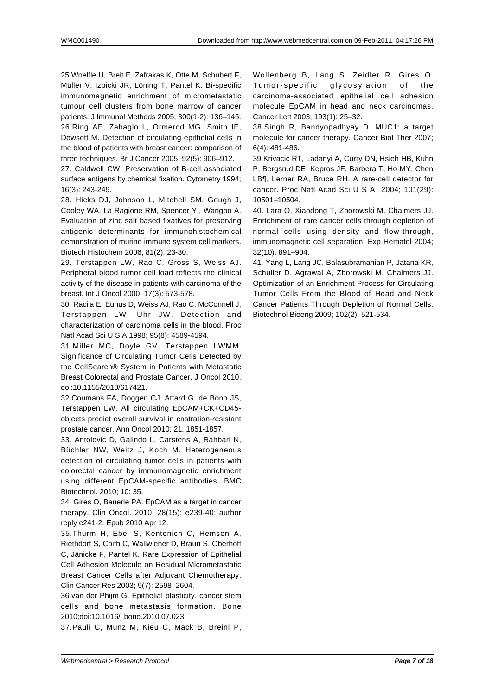25.Woelfle U, Breit E, Zafrakas K, Otte M, Schubert F, Müller V, Izbicki JR, Löning T, Pantel K. Bi-specific immunomagnetic enrichment of micrometastatic tumour cell clusters from bone marrow of cancer patients. J Immunol Methods 2005; 300(1-2): 136–145. 26.Ring AE, Zabaglo L, Ormerod MG, Smith IE, Dowsett M. Detection of circulating epithelial cells in the blood of patients with breast cancer: comparison of three techniques. Br J Cancer 2005; 92(5): 906–912.

27. Caldwell CW. Preservation of B-cell associated surface antigens by chemical fixation. Cytometry 1994: 16(3): 243-249.

28. Hicks DJ, Johnson L, Mitchell SM, Gough J, Cooley WA, La Ragione RM, Spencer YI, Wangoo A. Evaluation of zinc salt based fixatives for preserving antigenic determinants for immunohistochemical demonstration of murine immune system cell markers. Biotech Histochem 2006; 81(2): 23-30.

29. Terstappen LW, Rao C, Gross S, Weiss AJ. Peripheral blood tumor cell load reflects the clinical activity of the disease in patients with carcinoma of the breast. Int J Oncol 2000; 17(3): 573-578.

30. Racila E, Euhus D, Weiss AJ, Rao C, McConnell J, Terstappen LW, Uhr JW. Detection and characterization of carcinoma cells in the blood. Proc Natl Acad Sci U S A 1998; 95(8): 4589-4594.

31.Miller MC, Doyle GV, Terstappen LWMM. Significance of Circulating Tumor Cells Detected by the CellSearch® System in Patients with Metastatic Breast Colorectal and Prostate Cancer. J Oncol 2010. doi:10.1155/2010/617421.

32.Coumans FA, Doggen CJ, Attard G, de Bono JS, Terstappen LW. All circulating EpCAM+CK+CD45 objects predict overall survival in castration-resistant prostate cancer. Ann Oncol 2010; 21: 1851-1857.

33. Antolovic D, Galindo L, Carstens A, Rahbari N, Büchler NW, Weitz J, Koch M. Heterogeneous detection of circulating tumor cells in patients with colorectal cancer by immunomagnetic enrichment using different EpCAM-specific antibodies. BMC Biotechnol. 2010; 10: 35.

34. Gires O, Bauerle PA. EpCAM as a target in cancer therapy. Clin Oncol. 2010; 28(15): e239-40; author reply e241-2. Epub 2010 Apr 12.

35.Thurm H, Ebel S, Kentenich C, Hemsen A, Riethdorf S, Coith C, Wallwiener D, Braun S, Oberhoff C, Jänicke F, Pantel K. Rare Expression of Epithelial Cell Adhesion Molecule on Residual Micrometastatic Breast Cancer Cells after Adjuvant Chemotherapy. Clin Cancer Res 2003; 9(7): 2598–2604.

36.van der Phijm G. Epithelial plasticity, cancer stem cells and bone metastasis formation. Bone 2010;doi:10.1016/j bone.2010.07.023.

37.Pauli C, Münz M, Kieu C, Mack B, Breinl P,

Wollenberg B, Lang S, Zeidler R, Gires O. Tumor-specific glycosylation of the carcinoma-associated epithelial cell adhesion molecule EpCAM in head and neck carcinomas. Cancer Lett 2003; 193(1): 25–32.

38.Singh R, Bandyopadhyay D. MUC1: a target molecule for cancer therapy. Cancer Biol Ther 2007; 6(4): 481-486.

39.Krivacic RT, Ladanyi A, Curry DN, Hsieh HB, Kuhn P, Bergsrud DE, Kepros JF, Barbera T, Ho MY, Chen LB¶, Lerner RA, Bruce RH. A rare-cell detector for cancer. Proc Natl Acad Sci U S A 2004; 101(29): 10501–10504.

40. Lara O, Xiaodong T, Zborowski M, Chalmers JJ. Enrichment of rare cancer cells through depletion of normal cells using density and flow-through, immunomagnetic cell separation. Exp Hematol 2004; 32(10): 891–904.

41. Yang L, Lang JC, Balasubramanian P, Jatana KR, Schuller D, Agrawal A, Zborowski M, Chalmers JJ. Optimization of an Enrichment Process for Circulating Tumor Cells From the Blood of Head and Neck Cancer Patients Through Depletion of Normal Cells. Biotechnol Bioeng 2009; 102(2): 521-534.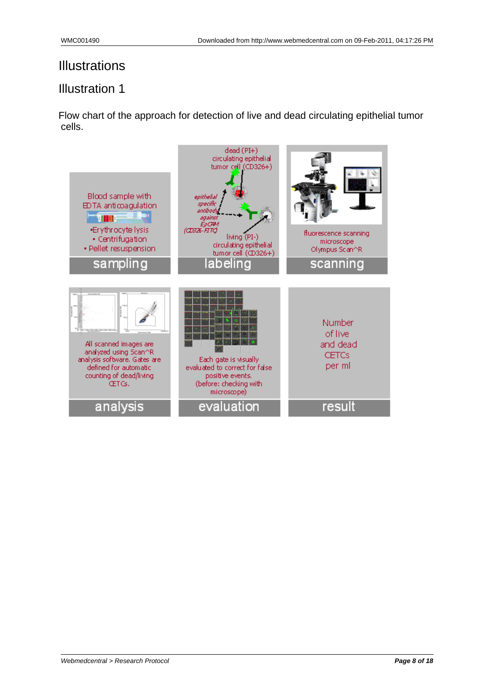#### Illustration 1

Flow chart of the approach for detection of live and dead circulating epithelial tumor cells.

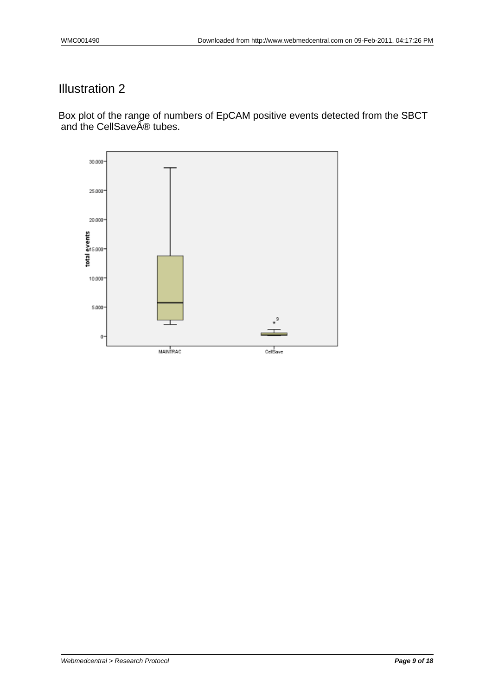Box plot of the range of numbers of EpCAM positive events detected from the SBCT and the CellSaveî tubes.

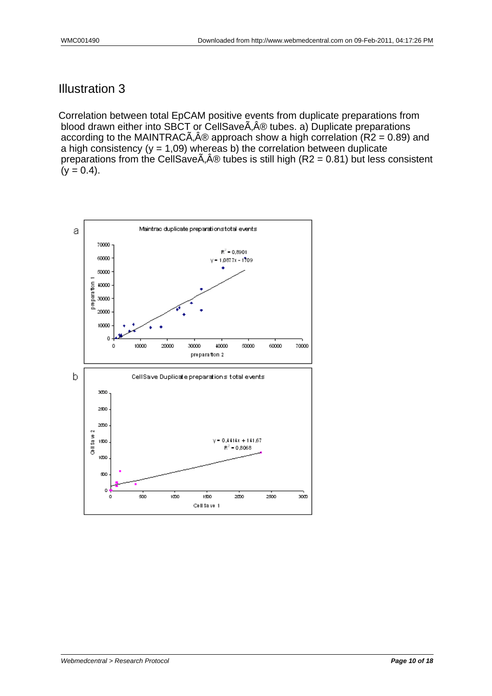Correlation between total EpCAM positive events from duplicate preparations from blood drawn either into SBCT or CellSave A, A® tubes. a) Duplicate preparations according to the MAINTRAC $\tilde{A}$ , $\hat{A}$ ® approach show a high correlation (R2 = 0.89) and a high consistency ( $y = 1,09$ ) whereas b) the correlation between duplicate preparations from the CellSave $\tilde{A}$ , $\hat{A}$ ® tubes is still high (R2 = 0.81) but less consistent  $(y = 0.4)$ .

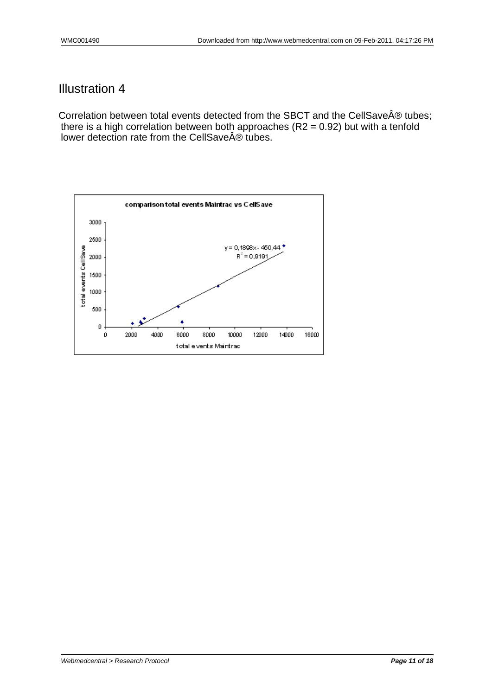Correlation between total events detected from the SBCT and the CellSave $\hat{A}\circledast$  tubes; there is a high correlation between both approaches (R2 = 0.92) but with a tenfold lower detection rate from the CellSaveî tubes.

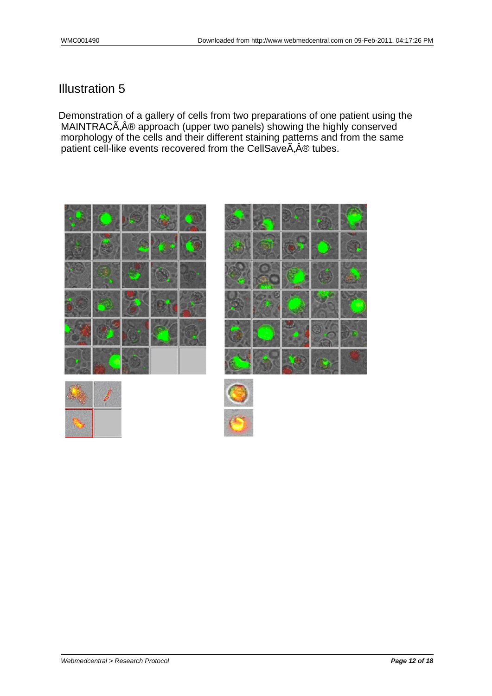Demonstration of a gallery of cells from two preparations of one patient using the MAINTRAC® approach (upper two panels) showing the highly conserved morphology of the cells and their different staining patterns and from the same patient cell-like events recovered from the CellSave $\tilde{A}$ ,  $\hat{A} \circledR$  tubes.







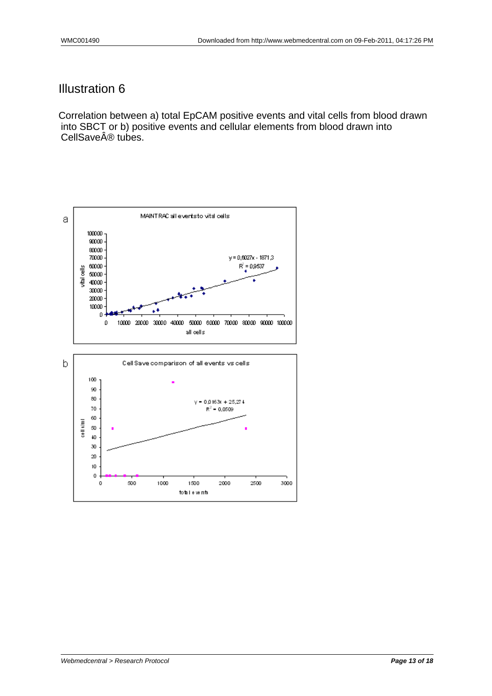Correlation between a) total EpCAM positive events and vital cells from blood drawn into SBCT or b) positive events and cellular elements from blood drawn into CellSave® tubes.

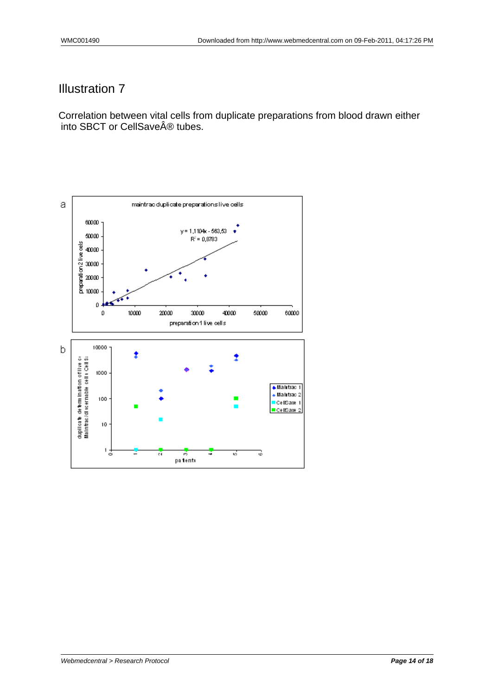Correlation between vital cells from duplicate preparations from blood drawn either into SBCT or CellSaveî tubes.

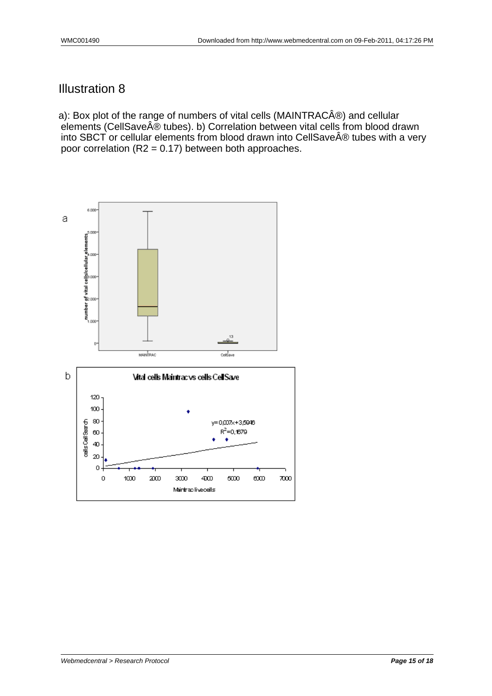a): Box plot of the range of numbers of vital cells (MAINTRAC®) and cellular elements (CellSave® tubes). b) Correlation between vital cells from blood drawn into SBCT or cellular elements from blood drawn into CellSave $\hat{A} \circledR$  tubes with a very poor correlation ( $R2 = 0.17$ ) between both approaches.

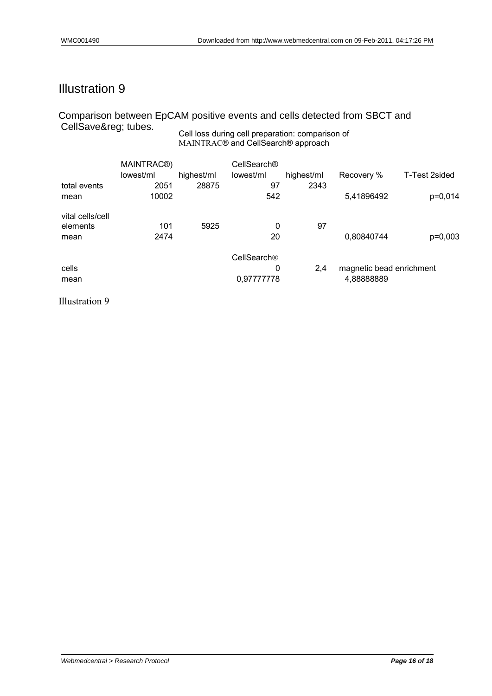#### Cell loss during cell preparation: comparison of Comparison between EpCAM positive events and cells detected from SBCT and CellSave® tubes.

MAINTRAC® and CellSearch® approach

|                  | MAINTRAC <sup>®</sup> )<br>lowest/ml | highest/ml | CellSearch®<br>lowest/ml | highest/ml | Recovery %               | T-Test 2sided |
|------------------|--------------------------------------|------------|--------------------------|------------|--------------------------|---------------|
| total events     | 2051                                 | 28875      | 97                       | 2343       |                          |               |
| mean             | 10002                                |            | 542                      |            | 5,41896492               | p=0,014       |
| vital cells/cell |                                      |            |                          |            |                          |               |
| elements         | 101                                  | 5925       | 0                        | 97         |                          |               |
| mean             | 2474                                 |            | 20                       |            | 0,80840744               | p=0,003       |
|                  |                                      |            | CellSearch®              |            |                          |               |
| cells            |                                      |            | 0                        | 2,4        | magnetic bead enrichment |               |
| mean             |                                      |            | 0,97777778               |            | 4,88888889               |               |

Illustration 9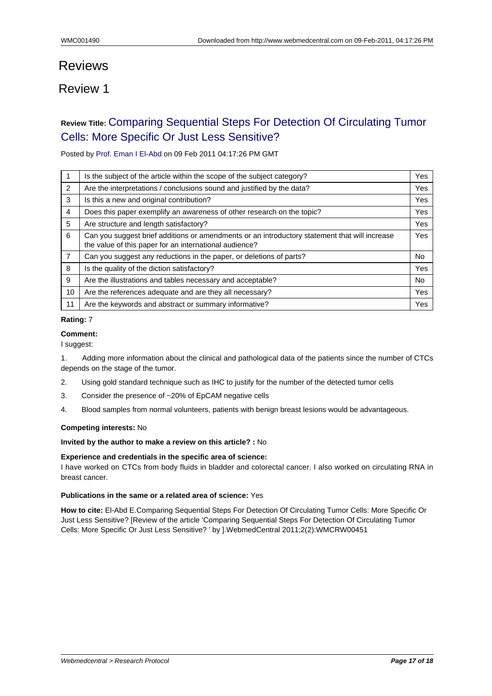# Reviews

### Review 1

## **Review Title:** Comparing Sequential Steps For Detection Of Circulating Tumor Cells: More Specific Or Just Less Sensitive?

Posted by Pro[f. Eman I El-Abd on 09 Feb 2011 04:17:26 PM GMT](#page--1-0)

|                | Is the subject of the article within the scope of the subject category?                                                                                 | Yes |
|----------------|---------------------------------------------------------------------------------------------------------------------------------------------------------|-----|
| 2              | Are the interpretations / conclusions sound and justified by the data?                                                                                  | Yes |
| 3              | Is this a new and original contribution?                                                                                                                | Yes |
| 4              | Does this paper exemplify an awareness of other research on the topic?                                                                                  | Yes |
| 5              | Are structure and length satisfactory?                                                                                                                  | Yes |
| 6              | Can you suggest brief additions or amendments or an introductory statement that will increase<br>the value of this paper for an international audience? | Yes |
| $\overline{7}$ | Can you suggest any reductions in the paper, or deletions of parts?                                                                                     | No. |
| 8              | Is the quality of the diction satisfactory?                                                                                                             | Yes |
| 9              | Are the illustrations and tables necessary and acceptable?                                                                                              | No. |
| 10             | Are the references adequate and are they all necessary?                                                                                                 | Yes |
| 11             | Are the keywords and abstract or summary informative?                                                                                                   | Yes |

#### **Rating:** 7

#### **Comment:**

I suggest:

1. Adding more information about the clinical and pathological data of the patients since the number of CTCs depends on the stage of the tumor.

- 2. Using gold standard technique such as IHC to justify for the number of the detected tumor cells
- 3. Consider the presence of ~20% of EpCAM negative cells
- 4. Blood samples from normal volunteers, patients with benign breast lesions would be advantageous.

#### **Competing interests:** No

#### **Invited by the author to make a review on this article? :** No

#### **Experience and credentials in the specific area of science:**

I have worked on CTCs from body fluids in bladder and colorectal cancer. I also worked on circulating RNA in breast cancer.

#### **Publications in the same or a related area of science:** Yes

**How to cite:** El-Abd E.Comparing Sequential Steps For Detection Of Circulating Tumor Cells: More Specific Or Just Less Sensitive? [Review of the article 'Comparing Sequential Steps For Detection Of Circulating Tumor Cells: More Specific Or Just Less Sensitive? ' by ].WebmedCentral 2011;2(2):WMCRW00451